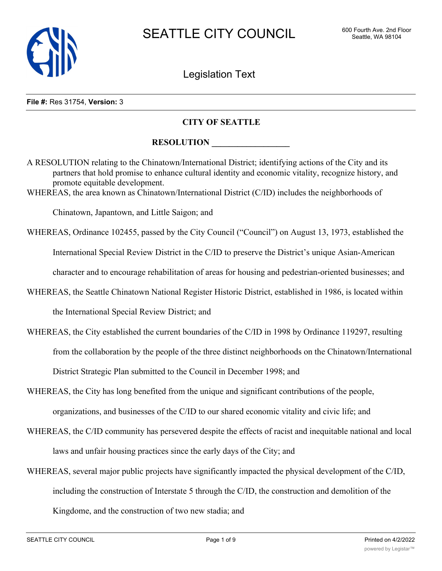

Legislation Text

#### **File #:** Res 31754, **Version:** 3

## **CITY OF SEATTLE**

## **RESOLUTION**

A RESOLUTION relating to the Chinatown/International District; identifying actions of the City and its partners that hold promise to enhance cultural identity and economic vitality, recognize history, and promote equitable development.

WHEREAS, the area known as Chinatown/International District (C/ID) includes the neighborhoods of

Chinatown, Japantown, and Little Saigon; and

WHEREAS, Ordinance 102455, passed by the City Council ("Council") on August 13, 1973, established the

International Special Review District in the C/ID to preserve the District's unique Asian-American

character and to encourage rehabilitation of areas for housing and pedestrian-oriented businesses; and

WHEREAS, the Seattle Chinatown National Register Historic District, established in 1986, is located within

the International Special Review District; and

- WHEREAS, the City established the current boundaries of the C/ID in 1998 by Ordinance 119297, resulting from the collaboration by the people of the three distinct neighborhoods on the Chinatown/International District Strategic Plan submitted to the Council in December 1998; and
- WHEREAS, the City has long benefited from the unique and significant contributions of the people, organizations, and businesses of the C/ID to our shared economic vitality and civic life; and
- WHEREAS, the C/ID community has persevered despite the effects of racist and inequitable national and local laws and unfair housing practices since the early days of the City; and
- WHEREAS, several major public projects have significantly impacted the physical development of the C/ID, including the construction of Interstate 5 through the C/ID, the construction and demolition of the Kingdome, and the construction of two new stadia; and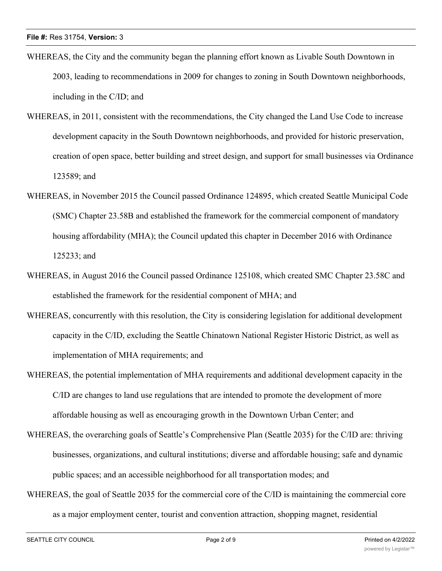- WHEREAS, the City and the community began the planning effort known as Livable South Downtown in 2003, leading to recommendations in 2009 for changes to zoning in South Downtown neighborhoods, including in the C/ID; and
- WHEREAS, in 2011, consistent with the recommendations, the City changed the Land Use Code to increase development capacity in the South Downtown neighborhoods, and provided for historic preservation, creation of open space, better building and street design, and support for small businesses via Ordinance 123589; and
- WHEREAS, in November 2015 the Council passed Ordinance 124895, which created Seattle Municipal Code (SMC) Chapter 23.58B and established the framework for the commercial component of mandatory housing affordability (MHA); the Council updated this chapter in December 2016 with Ordinance 125233; and
- WHEREAS, in August 2016 the Council passed Ordinance 125108, which created SMC Chapter 23.58C and established the framework for the residential component of MHA; and
- WHEREAS, concurrently with this resolution, the City is considering legislation for additional development capacity in the C/ID, excluding the Seattle Chinatown National Register Historic District, as well as implementation of MHA requirements; and
- WHEREAS, the potential implementation of MHA requirements and additional development capacity in the C/ID are changes to land use regulations that are intended to promote the development of more affordable housing as well as encouraging growth in the Downtown Urban Center; and
- WHEREAS, the overarching goals of Seattle's Comprehensive Plan (Seattle 2035) for the C/ID are: thriving businesses, organizations, and cultural institutions; diverse and affordable housing; safe and dynamic public spaces; and an accessible neighborhood for all transportation modes; and
- WHEREAS, the goal of Seattle 2035 for the commercial core of the C/ID is maintaining the commercial core as a major employment center, tourist and convention attraction, shopping magnet, residential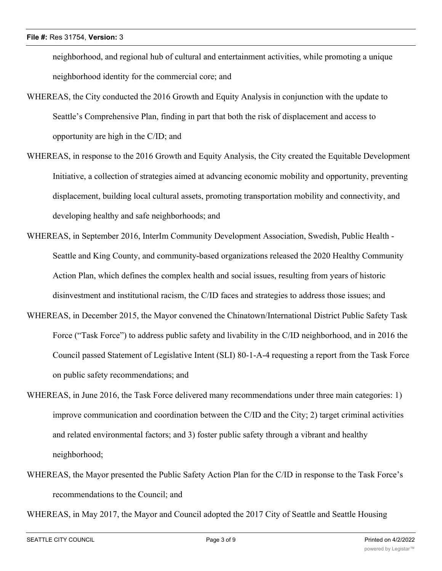neighborhood, and regional hub of cultural and entertainment activities, while promoting a unique neighborhood identity for the commercial core; and

- WHEREAS, the City conducted the 2016 Growth and Equity Analysis in conjunction with the update to Seattle's Comprehensive Plan, finding in part that both the risk of displacement and access to opportunity are high in the C/ID; and
- WHEREAS, in response to the 2016 Growth and Equity Analysis, the City created the Equitable Development Initiative, a collection of strategies aimed at advancing economic mobility and opportunity, preventing displacement, building local cultural assets, promoting transportation mobility and connectivity, and developing healthy and safe neighborhoods; and
- WHEREAS, in September 2016, InterIm Community Development Association, Swedish, Public Health Seattle and King County, and community-based organizations released the 2020 Healthy Community Action Plan, which defines the complex health and social issues, resulting from years of historic disinvestment and institutional racism, the C/ID faces and strategies to address those issues; and
- WHEREAS, in December 2015, the Mayor convened the Chinatown/International District Public Safety Task Force ("Task Force") to address public safety and livability in the C/ID neighborhood, and in 2016 the Council passed Statement of Legislative Intent (SLI) 80-1-A-4 requesting a report from the Task Force on public safety recommendations; and
- WHEREAS, in June 2016, the Task Force delivered many recommendations under three main categories: 1) improve communication and coordination between the C/ID and the City; 2) target criminal activities and related environmental factors; and 3) foster public safety through a vibrant and healthy neighborhood;
- WHEREAS, the Mayor presented the Public Safety Action Plan for the C/ID in response to the Task Force's recommendations to the Council; and

WHEREAS, in May 2017, the Mayor and Council adopted the 2017 City of Seattle and Seattle Housing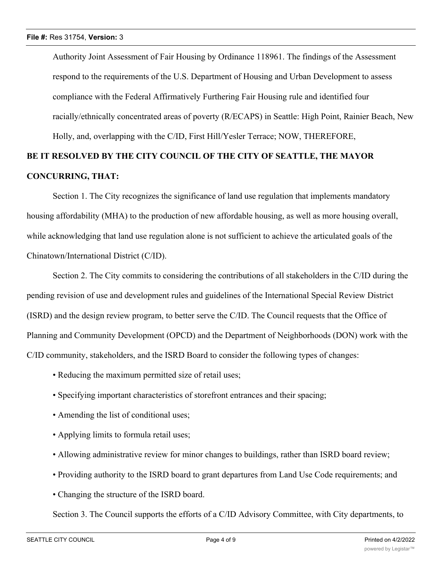Authority Joint Assessment of Fair Housing by Ordinance 118961. The findings of the Assessment respond to the requirements of the U.S. Department of Housing and Urban Development to assess compliance with the Federal Affirmatively Furthering Fair Housing rule and identified four racially/ethnically concentrated areas of poverty (R/ECAPS) in Seattle: High Point, Rainier Beach, New Holly, and, overlapping with the C/ID, First Hill/Yesler Terrace; NOW, THEREFORE,

# **BE IT RESOLVED BY THE CITY COUNCIL OF THE CITY OF SEATTLE, THE MAYOR CONCURRING, THAT:**

Section 1. The City recognizes the significance of land use regulation that implements mandatory housing affordability (MHA) to the production of new affordable housing, as well as more housing overall, while acknowledging that land use regulation alone is not sufficient to achieve the articulated goals of the Chinatown/International District (C/ID).

Section 2. The City commits to considering the contributions of all stakeholders in the C/ID during the pending revision of use and development rules and guidelines of the International Special Review District (ISRD) and the design review program, to better serve the C/ID. The Council requests that the Office of Planning and Community Development (OPCD) and the Department of Neighborhoods (DON) work with the C/ID community, stakeholders, and the ISRD Board to consider the following types of changes:

- Reducing the maximum permitted size of retail uses;
- Specifying important characteristics of storefront entrances and their spacing;
- Amending the list of conditional uses;
- Applying limits to formula retail uses;
- Allowing administrative review for minor changes to buildings, rather than ISRD board review;
- Providing authority to the ISRD board to grant departures from Land Use Code requirements; and
- Changing the structure of the ISRD board.

Section 3. The Council supports the efforts of a C/ID Advisory Committee, with City departments, to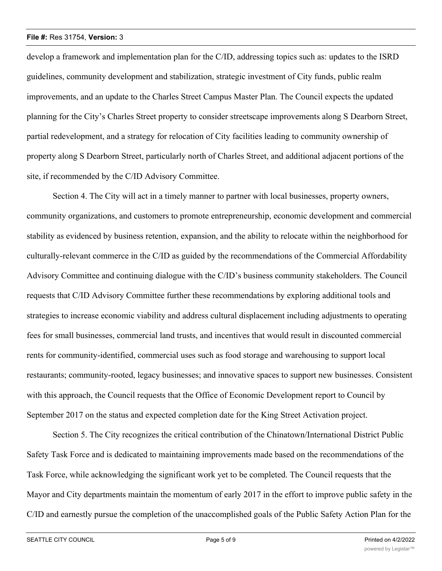### **File #:** Res 31754, **Version:** 3

develop a framework and implementation plan for the C/ID, addressing topics such as: updates to the ISRD guidelines, community development and stabilization, strategic investment of City funds, public realm improvements, and an update to the Charles Street Campus Master Plan. The Council expects the updated planning for the City's Charles Street property to consider streetscape improvements along S Dearborn Street, partial redevelopment, and a strategy for relocation of City facilities leading to community ownership of property along S Dearborn Street, particularly north of Charles Street, and additional adjacent portions of the site, if recommended by the C/ID Advisory Committee.

Section 4. The City will act in a timely manner to partner with local businesses, property owners, community organizations, and customers to promote entrepreneurship, economic development and commercial stability as evidenced by business retention, expansion, and the ability to relocate within the neighborhood for culturally-relevant commerce in the C/ID as guided by the recommendations of the Commercial Affordability Advisory Committee and continuing dialogue with the C/ID's business community stakeholders. The Council requests that C/ID Advisory Committee further these recommendations by exploring additional tools and strategies to increase economic viability and address cultural displacement including adjustments to operating fees for small businesses, commercial land trusts, and incentives that would result in discounted commercial rents for community-identified, commercial uses such as food storage and warehousing to support local restaurants; community-rooted, legacy businesses; and innovative spaces to support new businesses. Consistent with this approach, the Council requests that the Office of Economic Development report to Council by September 2017 on the status and expected completion date for the King Street Activation project.

Section 5. The City recognizes the critical contribution of the Chinatown/International District Public Safety Task Force and is dedicated to maintaining improvements made based on the recommendations of the Task Force, while acknowledging the significant work yet to be completed. The Council requests that the Mayor and City departments maintain the momentum of early 2017 in the effort to improve public safety in the C/ID and earnestly pursue the completion of the unaccomplished goals of the Public Safety Action Plan for the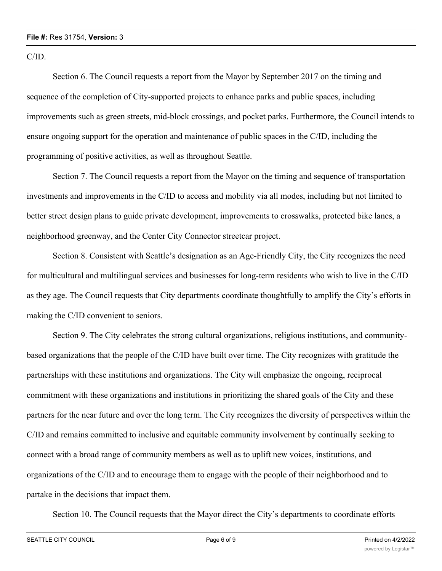C/ID.

Section 6. The Council requests a report from the Mayor by September 2017 on the timing and sequence of the completion of City-supported projects to enhance parks and public spaces, including improvements such as green streets, mid-block crossings, and pocket parks. Furthermore, the Council intends to ensure ongoing support for the operation and maintenance of public spaces in the C/ID, including the programming of positive activities, as well as throughout Seattle.

Section 7. The Council requests a report from the Mayor on the timing and sequence of transportation investments and improvements in the C/ID to access and mobility via all modes, including but not limited to better street design plans to guide private development, improvements to crosswalks, protected bike lanes, a neighborhood greenway, and the Center City Connector streetcar project.

Section 8. Consistent with Seattle's designation as an Age-Friendly City, the City recognizes the need for multicultural and multilingual services and businesses for long-term residents who wish to live in the C/ID as they age. The Council requests that City departments coordinate thoughtfully to amplify the City's efforts in making the C/ID convenient to seniors.

Section 9. The City celebrates the strong cultural organizations, religious institutions, and communitybased organizations that the people of the C/ID have built over time. The City recognizes with gratitude the partnerships with these institutions and organizations. The City will emphasize the ongoing, reciprocal commitment with these organizations and institutions in prioritizing the shared goals of the City and these partners for the near future and over the long term. The City recognizes the diversity of perspectives within the C/ID and remains committed to inclusive and equitable community involvement by continually seeking to connect with a broad range of community members as well as to uplift new voices, institutions, and organizations of the C/ID and to encourage them to engage with the people of their neighborhood and to partake in the decisions that impact them.

Section 10. The Council requests that the Mayor direct the City's departments to coordinate efforts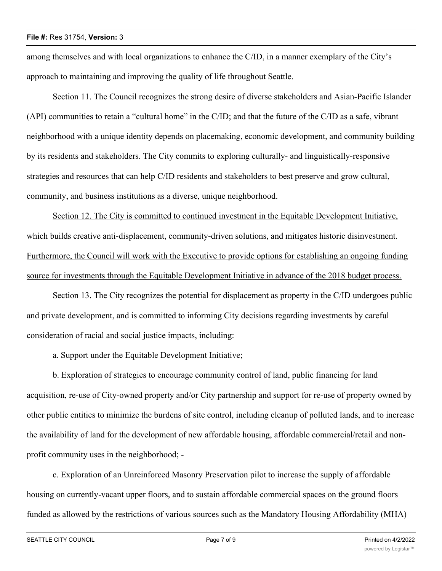among themselves and with local organizations to enhance the C/ID, in a manner exemplary of the City's approach to maintaining and improving the quality of life throughout Seattle.

Section 11. The Council recognizes the strong desire of diverse stakeholders and Asian-Pacific Islander (API) communities to retain a "cultural home" in the C/ID; and that the future of the C/ID as a safe, vibrant neighborhood with a unique identity depends on placemaking, economic development, and community building by its residents and stakeholders. The City commits to exploring culturally- and linguistically-responsive strategies and resources that can help C/ID residents and stakeholders to best preserve and grow cultural, community, and business institutions as a diverse, unique neighborhood.

Section 12. The City is committed to continued investment in the Equitable Development Initiative, which builds creative anti-displacement, community-driven solutions, and mitigates historic disinvestment. Furthermore, the Council will work with the Executive to provide options for establishing an ongoing funding source for investments through the Equitable Development Initiative in advance of the 2018 budget process.

Section 13. The City recognizes the potential for displacement as property in the C/ID undergoes public and private development, and is committed to informing City decisions regarding investments by careful consideration of racial and social justice impacts, including:

a. Support under the Equitable Development Initiative;

b. Exploration of strategies to encourage community control of land, public financing for land acquisition, re-use of City-owned property and/or City partnership and support for re-use of property owned by other public entities to minimize the burdens of site control, including cleanup of polluted lands, and to increase the availability of land for the development of new affordable housing, affordable commercial/retail and nonprofit community uses in the neighborhood; -

c. Exploration of an Unreinforced Masonry Preservation pilot to increase the supply of affordable housing on currently-vacant upper floors, and to sustain affordable commercial spaces on the ground floors funded as allowed by the restrictions of various sources such as the Mandatory Housing Affordability (MHA)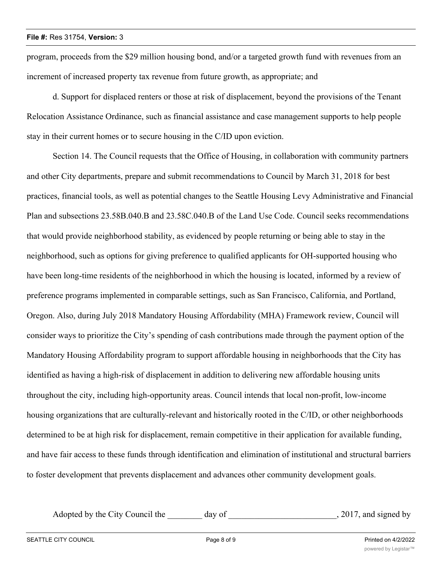program, proceeds from the \$29 million housing bond, and/or a targeted growth fund with revenues from an increment of increased property tax revenue from future growth, as appropriate; and

d. Support for displaced renters or those at risk of displacement, beyond the provisions of the Tenant Relocation Assistance Ordinance, such as financial assistance and case management supports to help people stay in their current homes or to secure housing in the C/ID upon eviction.

Section 14. The Council requests that the Office of Housing, in collaboration with community partners and other City departments, prepare and submit recommendations to Council by March 31, 2018 for best practices, financial tools, as well as potential changes to the Seattle Housing Levy Administrative and Financial Plan and subsections 23.58B.040.B and 23.58C.040.B of the Land Use Code. Council seeks recommendations that would provide neighborhood stability, as evidenced by people returning or being able to stay in the neighborhood, such as options for giving preference to qualified applicants for OH-supported housing who have been long-time residents of the neighborhood in which the housing is located, informed by a review of preference programs implemented in comparable settings, such as San Francisco, California, and Portland, Oregon. Also, during July 2018 Mandatory Housing Affordability (MHA) Framework review, Council will consider ways to prioritize the City's spending of cash contributions made through the payment option of the Mandatory Housing Affordability program to support affordable housing in neighborhoods that the City has identified as having a high-risk of displacement in addition to delivering new affordable housing units throughout the city, including high-opportunity areas. Council intends that local non-profit, low-income housing organizations that are culturally-relevant and historically rooted in the C/ID, or other neighborhoods determined to be at high risk for displacement, remain competitive in their application for available funding, and have fair access to these funds through identification and elimination of institutional and structural barriers to foster development that prevents displacement and advances other community development goals.

Adopted by the City Council the day of the council council the day of the council state of the council state of the council state of the council state of the council state of the council state of the council state of the c